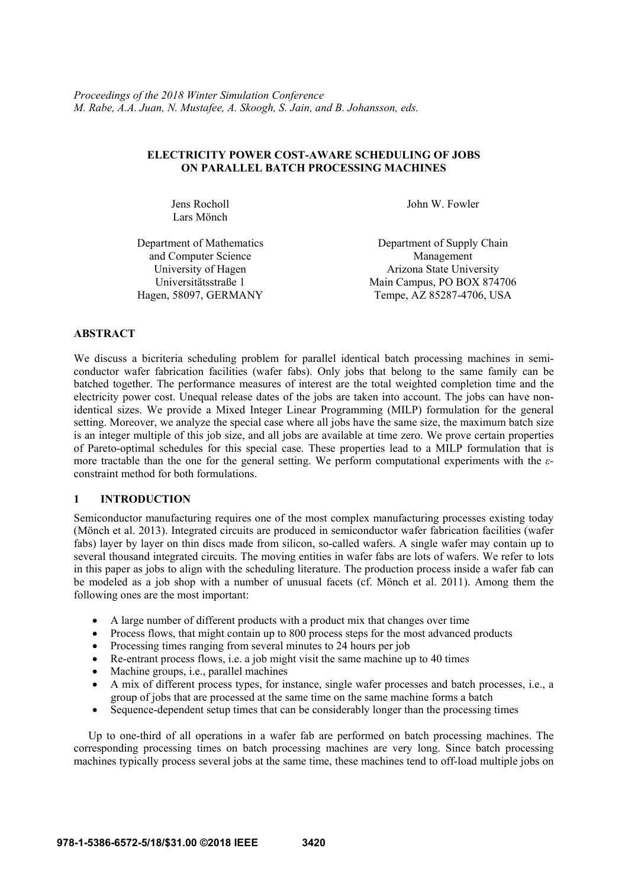## **ELECTRICITY POWER COST-AWARE SCHEDULING OF JOBS ON PARALLEL BATCH PROCESSING MACHINES**

Jens Rocholl Lars Mönch

John W. Fowler

Department of Mathematics and Computer Science

Department of Supply Chain Management University of Hagen Arizona State University Universitätsstraße 1 Main Campus, PO BOX 874706 Hagen, 58097, GERMANY Tempe, AZ 85287-4706, USA

# **ABSTRACT**

We discuss a bicriteria scheduling problem for parallel identical batch processing machines in semiconductor wafer fabrication facilities (wafer fabs). Only jobs that belong to the same family can be batched together. The performance measures of interest are the total weighted completion time and the electricity power cost. Unequal release dates of the jobs are taken into account. The jobs can have nonidentical sizes. We provide a Mixed Integer Linear Programming (MILP) formulation for the general setting. Moreover, we analyze the special case where all jobs have the same size, the maximum batch size is an integer multiple of this job size, and all jobs are available at time zero. We prove certain properties of Pareto-optimal schedules for this special case. These properties lead to a MILP formulation that is more tractable than the one for the general setting. We perform computational experiments with the *ε*constraint method for both formulations.

# **1 INTRODUCTION**

Semiconductor manufacturing requires one of the most complex manufacturing processes existing today (Mönch et al. 2013). Integrated circuits are produced in semiconductor wafer fabrication facilities (wafer fabs) layer by layer on thin discs made from silicon, so-called wafers. A single wafer may contain up to several thousand integrated circuits. The moving entities in wafer fabs are lots of wafers. We refer to lots in this paper as jobs to align with the scheduling literature. The production process inside a wafer fab can be modeled as a job shop with a number of unusual facets (cf. Mönch et al. 2011). Among them the following ones are the most important:

- A large number of different products with a product mix that changes over time
- Process flows, that might contain up to 800 process steps for the most advanced products
- Processing times ranging from several minutes to 24 hours per job
- Re-entrant process flows, i.e. a job might visit the same machine up to 40 times
- Machine groups, i.e., parallel machines
- A mix of different process types, for instance, single wafer processes and batch processes, i.e., a group of jobs that are processed at the same time on the same machine forms a batch
- Sequence-dependent setup times that can be considerably longer than the processing times

Up to one-third of all operations in a wafer fab are performed on batch processing machines. The corresponding processing times on batch processing machines are very long. Since batch processing machines typically process several jobs at the same time, these machines tend to off-load multiple jobs on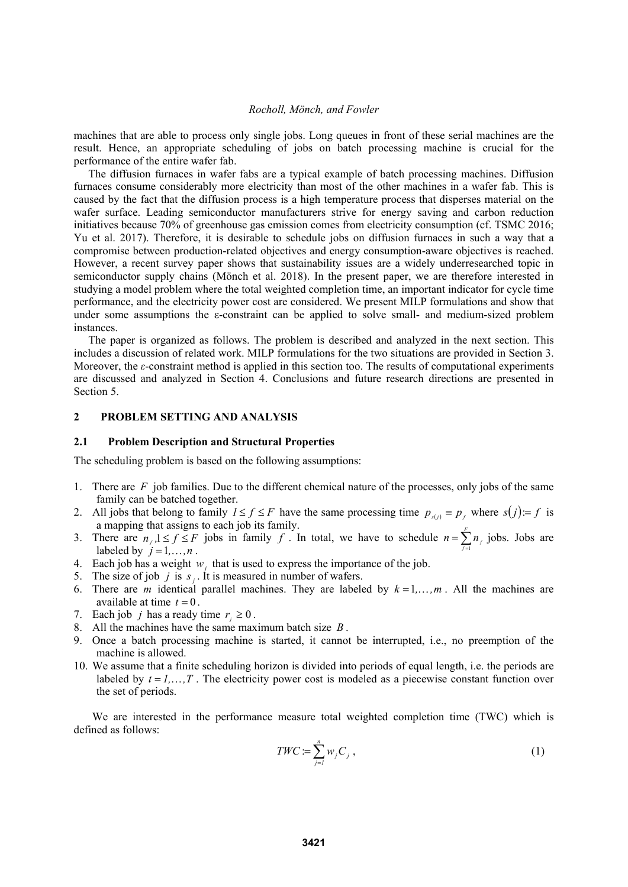machines that are able to process only single jobs. Long queues in front of these serial machines are the result. Hence, an appropriate scheduling of jobs on batch processing machine is crucial for the performance of the entire wafer fab.

The diffusion furnaces in wafer fabs are a typical example of batch processing machines. Diffusion furnaces consume considerably more electricity than most of the other machines in a wafer fab. This is caused by the fact that the diffusion process is a high temperature process that disperses material on the wafer surface. Leading semiconductor manufacturers strive for energy saving and carbon reduction initiatives because 70% of greenhouse gas emission comes from electricity consumption (cf. TSMC 2016; Yu et al. 2017). Therefore, it is desirable to schedule jobs on diffusion furnaces in such a way that a compromise between production-related objectives and energy consumption-aware objectives is reached. However, a recent survey paper shows that sustainability issues are a widely underresearched topic in semiconductor supply chains (Mönch et al. 2018). In the present paper, we are therefore interested in studying a model problem where the total weighted completion time, an important indicator for cycle time performance, and the electricity power cost are considered. We present MILP formulations and show that under some assumptions the ε-constraint can be applied to solve small- and medium-sized problem instances.

The paper is organized as follows. The problem is described and analyzed in the next section. This includes a discussion of related work. MILP formulations for the two situations are provided in Section 3. Moreover, the *ε*-constraint method is applied in this section too. The results of computational experiments are discussed and analyzed in Section 4. Conclusions and future research directions are presented in Section 5.

## **2 PROBLEM SETTING AND ANALYSIS**

#### **2.1 Problem Description and Structural Properties**

The scheduling problem is based on the following assumptions:

- 1. There are *F* job families. Due to the different chemical nature of the processes, only jobs of the same family can be batched together.
- 2. All jobs that belong to family  $1 \le f \le F$  have the same processing time  $p_{s(j)} \equiv p_f$  where  $s(j) = f$  is a mapping that assigns to each job its family.
- 3. There are  $n_f$ ,  $1 \le f \le F$  jobs in family *f*. In total, we have to schedule  $n = \sum_{f=1}^{F} n_f$  jobs. Jobs are labeled by  $i = 1, n$ labeled by  $j = 1, \ldots, n$ .
- 4. Each job has a weight  $w_i$ , that is used to express the importance of the job.
- 5. The size of job  $j$  is  $s_j$ . It is measured in number of wafers.
- 6. There are *m* identical parallel machines. They are labeled by  $k = 1, \ldots, m$ . All the machines are available at time  $t = 0$ .
- 7. Each job *j* has a ready time  $r_i \geq 0$ .
- 8. All the machines have the same maximum batch size *B* .
- 9. Once a batch processing machine is started, it cannot be interrupted, i.e., no preemption of the machine is allowed.
- 10. We assume that a finite scheduling horizon is divided into periods of equal length, i.e. the periods are labeled by  $t = 1, \ldots, T$ . The electricity power cost is modeled as a piecewise constant function over the set of periods.

 We are interested in the performance measure total weighted completion time (TWC) which is defined as follows:

$$
TWC := \sum_{j=1}^{n} w_j C_j , \qquad (1)
$$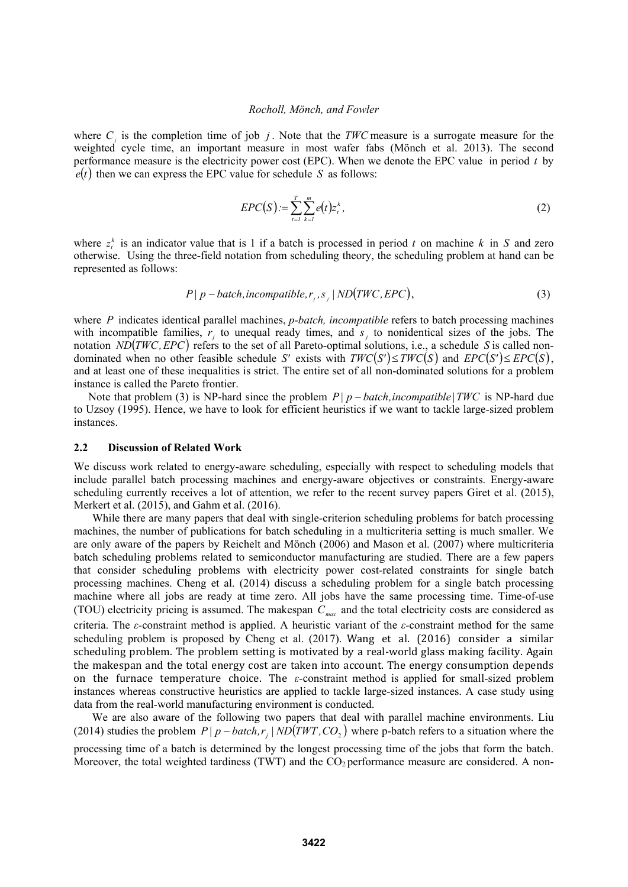where *C* is the completion time of job *j*. Note that the *TWC* measure is a surrogate measure for the weighted cycle time, an important measure in most wafer fabs (Mönch et al. 2013). The second performance measure is the electricity power cost (EPC). When we denote the EPC value in period *t* by  $e(t)$  then we can express the EPC value for schedule *S* as follows:

$$
EPC(S) := \sum_{t=1}^{T} \sum_{k=1}^{m} e(t) z_t^k, \qquad (2)
$$

where  $z_t^k$  is an indicator value that is 1 if a batch is processed in period *t* on machine *k* in *S* and zero otherwise. Using the three-field notation from scheduling theory, the scheduling problem at hand can be represented as follows:

$$
P \mid p - batch, incompatible, r_{j}, s_{j} \mid ND(TWC, EPC), \tag{3}
$$

where *P* indicates identical parallel machines, *p-batch, incompatible* refers to batch processing machines with incompatible families,  $r_i$  to unequal ready times, and  $s_i$  to nonidentical sizes of the jobs. The notation *ND*  $(TWC, EPC)$  refers to the set of all Pareto-optimal solutions, i.e., a schedule *S* is called nondominated when no other feasible schedule *S'* exists with  $TWC(S') \leq TWC(S)$  and  $EPC(S') \leq EPC(S)$ , and at least one of these inequalities is strict. The entire set of all non-dominated solutions for a problem instance is called the Pareto frontier.

Note that problem (3) is NP-hard since the problem  $P|p - batch, incompatible | TWC$  is NP-hard due to Uzsoy (1995). Hence, we have to look for efficient heuristics if we want to tackle large-sized problem instances.

#### **2.2 Discussion of Related Work**

We discuss work related to energy-aware scheduling, especially with respect to scheduling models that include parallel batch processing machines and energy-aware objectives or constraints. Energy-aware scheduling currently receives a lot of attention, we refer to the recent survey papers Giret et al. (2015), Merkert et al. (2015), and Gahm et al. (2016).

While there are many papers that deal with single-criterion scheduling problems for batch processing machines, the number of publications for batch scheduling in a multicriteria setting is much smaller. We are only aware of the papers by Reichelt and Mönch (2006) and Mason et al. (2007) where multicriteria batch scheduling problems related to semiconductor manufacturing are studied. There are a few papers that consider scheduling problems with electricity power cost-related constraints for single batch processing machines. Cheng et al. (2014) discuss a scheduling problem for a single batch processing machine where all jobs are ready at time zero. All jobs have the same processing time. Time-of-use (TOU) electricity pricing is assumed. The makespan *Cmax* and the total electricity costs are considered as criteria. The *ε-*constraint method is applied. A heuristic variant of the *ε-*constraint method for the same scheduling problem is proposed by Cheng et al. (2017). Wang et al. (2016) consider a similar scheduling problem. The problem setting is motivated by a real-world glass making facility. Again the makespan and the total energy cost are taken into account. The energy consumption depends on the furnace temperature choice. The  $\varepsilon$ -constraint method is applied for small-sized problem instances whereas constructive heuristics are applied to tackle large-sized instances. A case study using data from the real-world manufacturing environment is conducted.

We are also aware of the following two papers that deal with parallel machine environments. Liu (2014) studies the problem  $P|p - batch, r$ ,  $ND(TWT, CO, )$  where p-batch refers to a situation where the processing time of a batch is determined by the longest processing time of the jobs that form the batch. Moreover, the total weighted tardiness (TWT) and the  $CO<sub>2</sub>$  performance measure are considered. A non-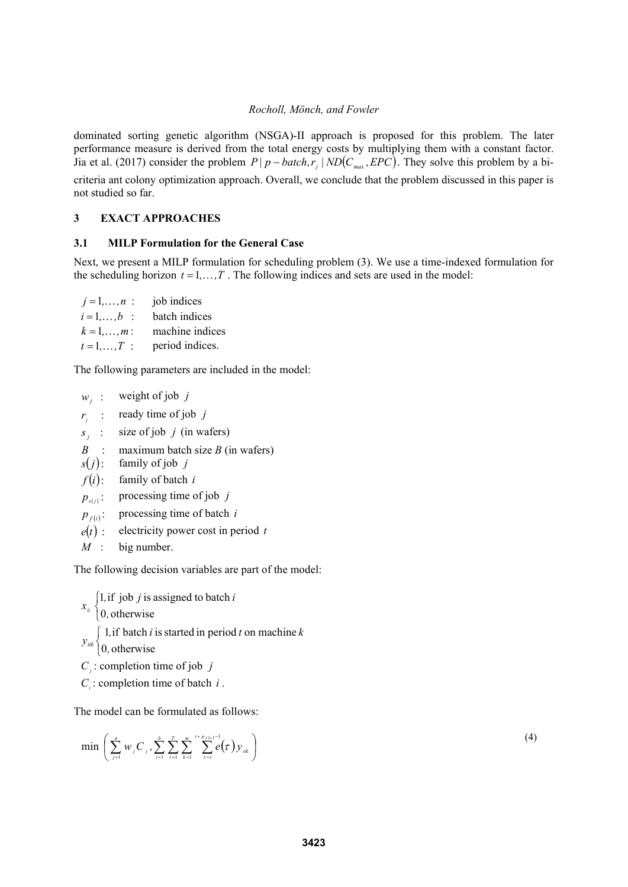dominated sorting genetic algorithm (NSGA)-II approach is proposed for this problem. The later performance measure is derived from the total energy costs by multiplying them with a constant factor. Jia et al. (2017) consider the problem  $P|p - batch, r_i| ND(C_{max}, EPC)$ . They solve this problem by a bicriteria ant colony optimization approach. Overall, we conclude that the problem discussed in this paper is not studied so far.

# **3 EXACT APPROACHES**

## **3.1 MILP Formulation for the General Case**

Next, we present a MILP formulation for scheduling problem (3). We use a time-indexed formulation for the scheduling horizon  $t = 1, \ldots, T$ . The following indices and sets are used in the model:

| $i = 1, , n$ : | job indices     |
|----------------|-----------------|
| $i = 1, , b$ : | batch indices   |
| $k = 1, , m$ : | machine indices |
| $t = 1, , T$ : | period indices. |

The following parameters are included in the model:

| $W_{\cdot}$ | weight of job $j$ |  |
|-------------|-------------------|--|
|             |                   |  |

- $r_j$  : ready time of job *j*
- $s_i$  : size of job *j* (in wafers)
- *B* : maximum batch size *B* (in wafers)
- $s(j)$ : family of job *j*
- $f(i)$ : family of batch *i*
- $p_{s(j)}$ : processing time of job *j*
- $p_{f(i)}$ : processing time of batch *i*
- $e(t)$ : electricity power cost in period *t*
- *M* : big number.

The following decision variables are part of the model:

 $\overline{\mathcal{L}}$  $\left\{ \right.$  $\int$ 0, otherwise 1, if job  $j$  is assigned to batch *,*  $\left\{\n \begin{array}{c}\n 1, & \text{if } j \text{ob } j \text{ is assigned to batch } i \\
0, & \text{otherwise}\n \end{array}\n\right\}$  $\overline{\mathfrak{l}}$ ⇃  $\left($ 0, otherwise 1, if batch  $i$  is started in period  $t$  on machine *,*  $y_{ik}$   $\begin{cases} 1, & \text{if batch } i \text{ is started in period } t \text{ on machine } k \end{cases}$ *C*<sub>*i*</sub> : completion time of job *j* 

*Ci* : completion time of batch *i* .

The model can be formulated as follows:

$$
\min\left(\sum_{j=1}^n w_j C_j, \sum_{i=1}^b \sum_{t=1}^r \sum_{k=1}^m \sum_{t=t}^{t+p_f(t)} e^{\frac{1}{2}}(\tau) y_{ik}\right)
$$
\n(4)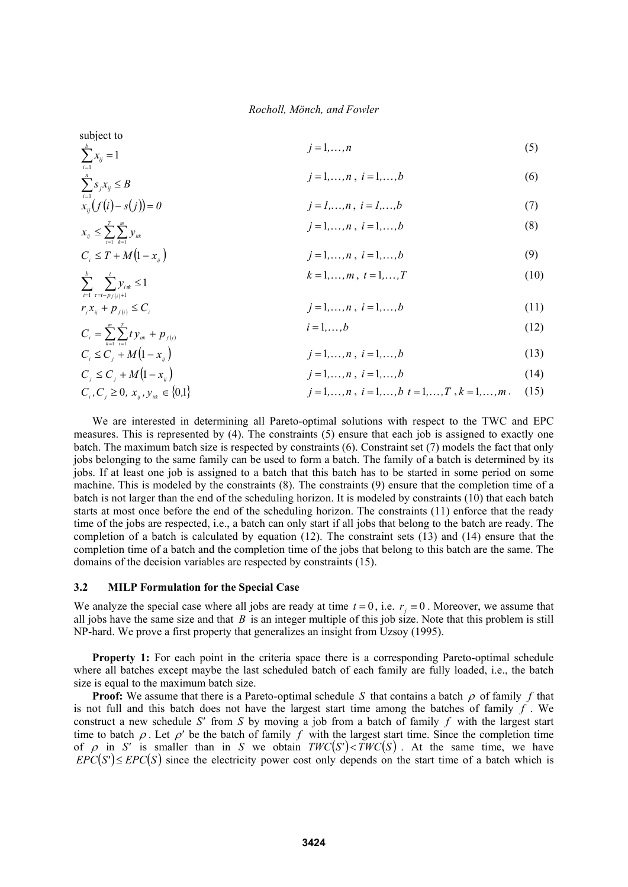subject to  $\sum_{i=1}^b x_{ij} =$  $\sum_{i=1}$   $x_{ij}$ 1  $j = 1, ..., n$  (5)  $j = 1, n, j = 1, k$  (6)

$$
\sum_{i=1}^{n} s_{j} x_{ij} \le B
$$
\n
$$
j = 1,...,n, i = 1,...,b
$$
\n(6)\n
$$
i = l,...,n, i = l,...,b
$$
\n(7)

$$
x_{ij} \left( \int_{t}^{i} (t)^{-s} (t)^{-s} (t)^{-s} \right)
$$
  
\n
$$
x_{ij} \le \sum_{t=1}^{T} \sum_{k=1}^{m} y_{ik}
$$
  
\n
$$
j = 1,...,n, i = 1,...,b
$$
  
\n(8)

$$
C_i \le T + M(1 - x_{ij})
$$
  
\n
$$
j = 1,...,n, i = 1,...,b
$$
 (9)

$$
\sum_{i=1}^{b} \sum_{\tau=t-p_{f(i)}+1}^{t} y_{i\tau k} \le 1
$$
\n
$$
k = 1, \dots, m, \ t = 1, \dots, T
$$
\n(10)

$$
r_j x_{ij} + p_{f(i)} \le C_i
$$
\n
$$
j = 1, ..., n, \quad i = 1, ..., b
$$
\n(11)\n
$$
i = 1, ..., b
$$
\n(12)

$$
C_{i} = \sum_{k=1}^{m} \sum_{t=1}^{T} t y_{ik} + p_{f(i)}
$$
\n
$$
C_{i} \le C_{j} + M(1 - x_{ij})
$$
\n
$$
C_{i} \le C_{i} + M(1 - x_{ij})
$$
\n
$$
j = 1,...,n, i = 1,...,b
$$
\n(13)\n
$$
j = 1,...,n, i = 1,...,b
$$
\n(14)

$$
j = 1, ..., n, \ i = 1, ..., b \tag{14}
$$

$$
j = 1,...,n
$$
,  $i = 1,...,b$   $t = 1,...,T$ ,  $k = 1,...,m$ . (15)

 We are interested in determining all Pareto-optimal solutions with respect to the TWC and EPC measures. This is represented by (4). The constraints (5) ensure that each job is assigned to exactly one batch. The maximum batch size is respected by constraints (6). Constraint set (7) models the fact that only jobs belonging to the same family can be used to form a batch. The family of a batch is determined by its jobs. If at least one job is assigned to a batch that this batch has to be started in some period on some machine. This is modeled by the constraints (8). The constraints (9) ensure that the completion time of a batch is not larger than the end of the scheduling horizon. It is modeled by constraints (10) that each batch starts at most once before the end of the scheduling horizon. The constraints (11) enforce that the ready time of the jobs are respected, i.e., a batch can only start if all jobs that belong to the batch are ready. The completion of a batch is calculated by equation (12). The constraint sets (13) and (14) ensure that the completion time of a batch and the completion time of the jobs that belong to this batch are the same. The domains of the decision variables are respected by constraints (15).

### **3.2 MILP Formulation for the Special Case**

 $C_i, C_i \geq 0, x_{ii}, y_{ii} \in \{0,1\}$ 

We analyze the special case where all jobs are ready at time  $t = 0$ , i.e.  $r_i \equiv 0$ . Moreover, we assume that all jobs have the same size and that *B* is an integer multiple of this job size. Note that this problem is still NP-hard. We prove a first property that generalizes an insight from Uzsoy (1995).

**Property 1:** For each point in the criteria space there is a corresponding Pareto-optimal schedule where all batches except maybe the last scheduled batch of each family are fully loaded, i.e., the batch size is equal to the maximum batch size.

**Proof:** We assume that there is a Pareto-optimal schedule *S* that contains a batch  $\rho$  of family *f* that is not full and this batch does not have the largest start time among the batches of family *f* . We construct a new schedule *S'* from *S* by moving a job from a batch of family *f* with the largest start time to batch  $\rho$ . Let  $\rho'$  be the batch of family  $f$  with the largest start time. Since the completion time of  $\rho$  in *S'* is smaller than in *S* we obtain *TWC*(*S'*)  $\lt$ *TWC*(*S*). At the same time, we have  $EPC(S') \leq EPC(S)$  since the electricity power cost only depends on the start time of a batch which is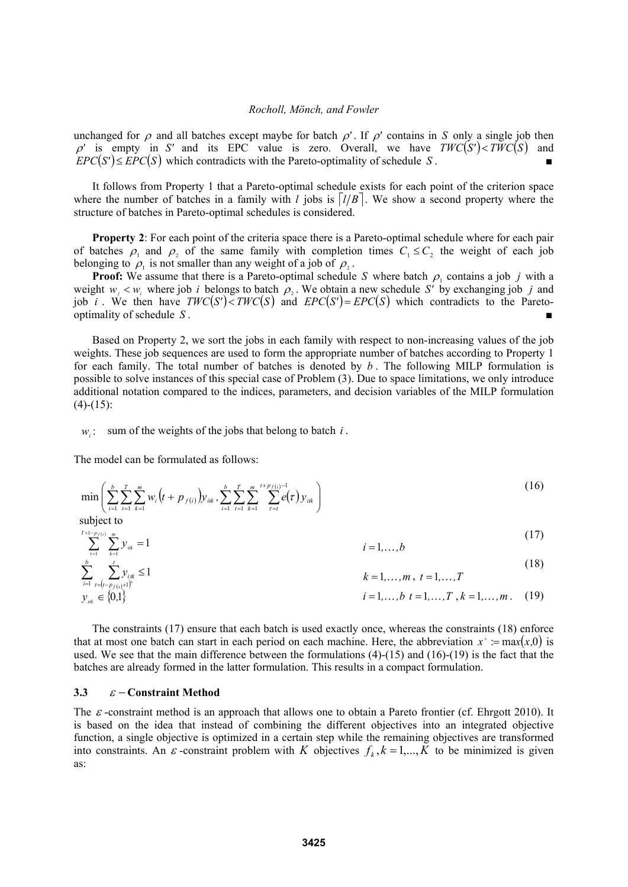unchanged for  $\rho$  and all batches except maybe for batch  $\rho'$ . If  $\rho'$  contains in *S* only a single job then  $\rho'$  is empty in *S'* and its EPC value is zero. Overall, we have  $TWC(S') < TWC(S)$  and  $EPC(S') \leq EPC(S)$  which contradicts with the Pareto-optimality of schedule *S*.

 It follows from Property 1 that a Pareto-optimal schedule exists for each point of the criterion space where the number of batches in a family with *l* jobs is  $\lfloor l/B \rfloor$ . We show a second property where the structure of batches in Pareto-optimal schedules is considered.

**Property 2**: For each point of the criteria space there is a Pareto-optimal schedule where for each pair of batches  $\rho_1$  and  $\rho_2$  of the same family with completion times  $C_1 \leq C_2$  the weight of each job belonging to  $\rho_1$  is not smaller than any weight of a job of  $\rho_2$ .

**Proof:** We assume that there is a Pareto-optimal schedule *S* where batch  $\rho_1$  contains a job *j* with a weight  $w_j < w_i$ , where job *i* belongs to batch  $\rho_2$ . We obtain a new schedule *S'* by exchanging job *j* and job *i*. We then have  $TWC(S') < TWC(S)$  and  $EPC(S') = EPC(S)$  which contradicts to the Paretooptimality of schedule  $S$ .

 Based on Property 2, we sort the jobs in each family with respect to non-increasing values of the job weights. These job sequences are used to form the appropriate number of batches according to Property 1 for each family. The total number of batches is denoted by *b* . The following MILP formulation is possible to solve instances of this special case of Problem (3). Due to space limitations, we only introduce additional notation compared to the indices, parameters, and decision variables of the MILP formulation  $(4)-(15)$ :

 $w_i$ : sum of the weights of the jobs that belong to batch *i*.

The model can be formulated as follows:

$$
\min\left(\sum_{i=1}^{b}\sum_{t=1}^{T}\sum_{k=1}^{m}w_{i}\left(t+p_{f(i)}\right)y_{iik},\sum_{i=1}^{b}\sum_{t=1}^{T}\sum_{k=1}^{m}\sum_{\tau=t}^{t+p_{f(i)}-1}e(\tau)y_{iik}\right)
$$
(16)

subject to

$$
\sum_{i=1}^{T+1-p_f(i)} \sum_{k=1}^{m} y_{ik} = 1
$$
 (17)

$$
\sum_{i=1}^{b} \sum_{\tau=(t-p_{f(i)}+1)^{+}}^{t} y_{i\pi} \le 1
$$
\n
$$
k = 1,...,m, t = 1,...,T
$$
\n
$$
y_{ik} \in \{0,1\}
$$
\n
$$
i = 1,...,b \ t = 1,...,T, k = 1,...,m. (19)
$$

 The constraints (17) ensure that each batch is used exactly once, whereas the constraints (18) enforce that at most one batch can start in each period on each machine. Here, the abbreviation  $x^* := \max(x,0)$  is used. We see that the main difference between the formulations (4)-(15) and (16)-(19) is the fact that the batches are already formed in the latter formulation. This results in a compact formulation.

### **3.3**  $\varepsilon$  – Constraint Method

The  $\varepsilon$ -constraint method is an approach that allows one to obtain a Pareto frontier (cf. Ehrgott 2010). It is based on the idea that instead of combining the different objectives into an integrated objective function, a single objective is optimized in a certain step while the remaining objectives are transformed into constraints. An  $\varepsilon$ -constraint problem with *K* objectives  $f_k$ ,  $k = 1,...,K$  to be minimized is given as: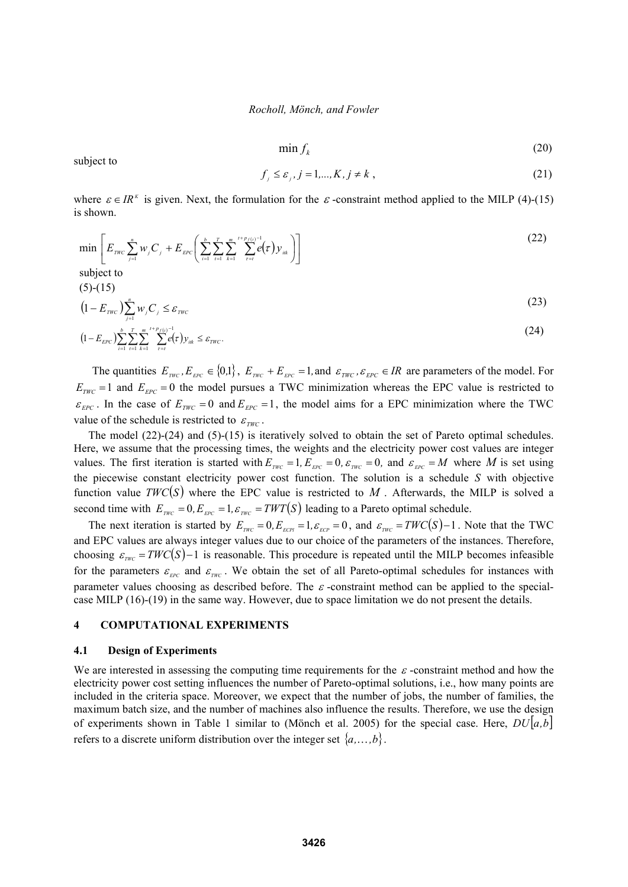$$
\min f_k \tag{20}
$$

subject to

$$
f_j \le \varepsilon_j, j = 1, \dots, K, j \ne k \tag{21}
$$

where  $\varepsilon \in IR^{\kappa}$  is given. Next, the formulation for the  $\varepsilon$ -constraint method applied to the MILP (4)-(15) is shown.

$$
\min \left[ E_{\text{rwc}} \sum_{j=1}^{n} w_j C_j + E_{\text{EPC}} \left( \sum_{i=1}^{b} \sum_{t=1}^{T} \sum_{k=1}^{m} \sum_{t=1}^{t+p_j(t)-1} e(\tau) y_{ik} \right) \right]
$$
\nsubject to

\n(5)-(15)

$$
(1 - E_{\text{TWC}}) \sum_{j=1}^{n} w_j C_j \le \varepsilon_{\text{TWC}}
$$
\n
$$
b \sum_{j=1}^{n} m_j t + p_j(t)^{-1}
$$
\n(23)

$$
(1 - E_{EPC}) \sum_{i=1}^{b} \sum_{t=1}^{T} \sum_{k=1}^{m} \sum_{r=t}^{t+p_f(i)-1} e(\tau) y_{ik} \leq \varepsilon_{TWC}.
$$

The quantities  $E_{TWC}$ ,  $E_{EFC} \in \{0,1\}$ ,  $E_{TWC} + E_{EFC} = 1$ , and  $\epsilon_{TWC}$ ,  $\epsilon_{EPC} \in IR$  are parameters of the model. For  $E_{\text{TWC}} = 1$  and  $E_{\text{EPC}} = 0$  the model pursues a TWC minimization whereas the EPC value is restricted to  $\varepsilon_{EPC}$ . In the case of  $E_{TWC} = 0$  and  $E_{EPC} = 1$ , the model aims for a EPC minimization where the TWC value of the schedule is restricted to  $\varepsilon_{\tau w_C}$ .

The model (22)-(24) and (5)-(15) is iteratively solved to obtain the set of Pareto optimal schedules. Here, we assume that the processing times, the weights and the electricity power cost values are integer values. The first iteration is started with  $E_{\text{rwc}} = 1$ ,  $E_{\text{pc}} = 0$ ,  $\varepsilon_{\text{rwc}} = 0$ , and  $\varepsilon_{\text{pc}} = M$  where M is set using the piecewise constant electricity power cost function. The solution is a schedule *S* with objective function value  $TWC(S)$  where the EPC value is restricted to M. Afterwards, the MILP is solved a second time with  $E_{TWC} = 0, E_{EFC} = 1, \varepsilon_{TWC} = TWT(S)$  leading to a Pareto optimal schedule.

The next iteration is started by  $E_{TWC} = 0, E_{ECR} = 1, \varepsilon_{ECP} = 0$ , and  $\varepsilon_{TWC} = TWC(S)-1$ . Note that the TWC and EPC values are always integer values due to our choice of the parameters of the instances. Therefore, choosing  $\varepsilon_{\text{rwc}} = \text{TWC}(S) - 1$  is reasonable. This procedure is repeated until the MILP becomes infeasible for the parameters  $\varepsilon_{\text{rec}}$  and  $\varepsilon_{\text{TWC}}$ . We obtain the set of all Pareto-optimal schedules for instances with parameter values choosing as described before. The  $\varepsilon$ -constraint method can be applied to the specialcase MILP (16)-(19) in the same way. However, due to space limitation we do not present the details.

## **4 COMPUTATIONAL EXPERIMENTS**

### **4.1 Design of Experiments**

We are interested in assessing the computing time requirements for the  $\varepsilon$  -constraint method and how the electricity power cost setting influences the number of Pareto-optimal solutions, i.e., how many points are included in the criteria space. Moreover, we expect that the number of jobs, the number of families, the maximum batch size, and the number of machines also influence the results. Therefore, we use the design of experiments shown in Table 1 similar to (Mönch et al. 2005) for the special case. Here, *DUa,b* refers to a discrete uniform distribution over the integer set  $\{a, \ldots, b\}$ .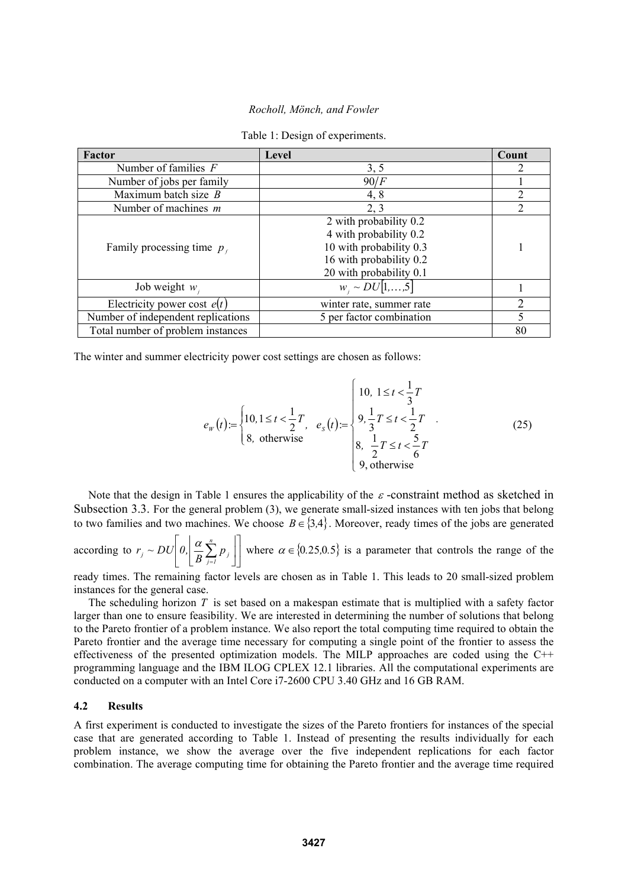| Factor                             | Level                                                                                                                             | Count          |
|------------------------------------|-----------------------------------------------------------------------------------------------------------------------------------|----------------|
| Number of families $F$             | 3, 5                                                                                                                              |                |
| Number of jobs per family          | 90/F                                                                                                                              |                |
| Maximum batch size $B$             | 4, 8                                                                                                                              | $\mathcal{D}$  |
| Number of machines $m$             | 2, 3                                                                                                                              | $\overline{2}$ |
| Family processing time $p_t$       | 2 with probability 0.2<br>4 with probability 0.2<br>10 with probability 0.3<br>16 with probability 0.2<br>20 with probability 0.1 |                |
| Job weight $w_i$                   | $W_i \sim DU[1,,5]$                                                                                                               |                |
| Electricity power cost $e(t)$      | winter rate, summer rate                                                                                                          | 2              |
| Number of independent replications | 5 per factor combination                                                                                                          |                |
| Total number of problem instances  |                                                                                                                                   | 80             |

Table 1: Design of experiments.

The winter and summer electricity power cost settings are chosen as follows:

$$
e_W(t) = \begin{cases} 10, 1 \le t < \frac{1}{2}T \\ 8, \text{ otherwise} \end{cases} \quad e_S(t) = \begin{cases} 10, 1 \le t < \frac{1}{3}T \\ 9, \frac{1}{3}T \le t < \frac{1}{2}T \\ 8, \frac{1}{2}T \le t < \frac{5}{6}T \\ 9, \text{ otherwise} \end{cases} \tag{25}
$$

Note that the design in Table 1 ensures the applicability of the  $\varepsilon$ -constraint method as sketched in Subsection 3.3. For the general problem (3), we generate small-sized instances with ten jobs that belong to two families and two machines. We choose  $B \in \{3,4\}$ . Moreover, ready times of the jobs are generated

according to  $r_i \sim DU|0| \frac{\alpha}{R} \sum p_i$  $\overline{\phantom{a}}$  $\left| 0, \frac{\alpha}{R} \sum_{i=1}^{R} p_i \right|$ L  $\mathsf{I}$  $\overline{\phantom{a}}$  $\overline{\phantom{a}}$  $\left|\frac{\alpha}{R}\sum_{j=1}^{n} p_{j}\right|$  $\left\lfloor \frac{\alpha}{B}\sum\limits_{j=1}^n\right\rfloor$  $r_j \sim DU\left|0, \left|\frac{\alpha}{B}\sum_{j=1}^{n} p_j\right|\right|$  where  $\alpha \in \{0.25, 0.5\}$  is a parameter that controls the range of the

ready times. The remaining factor levels are chosen as in Table 1. This leads to 20 small-sized problem instances for the general case.

The scheduling horizon *T* is set based on a makespan estimate that is multiplied with a safety factor larger than one to ensure feasibility. We are interested in determining the number of solutions that belong to the Pareto frontier of a problem instance. We also report the total computing time required to obtain the Pareto frontier and the average time necessary for computing a single point of the frontier to assess the effectiveness of the presented optimization models. The MILP approaches are coded using the C++ programming language and the IBM ILOG CPLEX 12.1 libraries. All the computational experiments are conducted on a computer with an Intel Core i7-2600 CPU 3.40 GHz and 16 GB RAM.

### **4.2 Results**

A first experiment is conducted to investigate the sizes of the Pareto frontiers for instances of the special case that are generated according to Table 1. Instead of presenting the results individually for each problem instance, we show the average over the five independent replications for each factor combination. The average computing time for obtaining the Pareto frontier and the average time required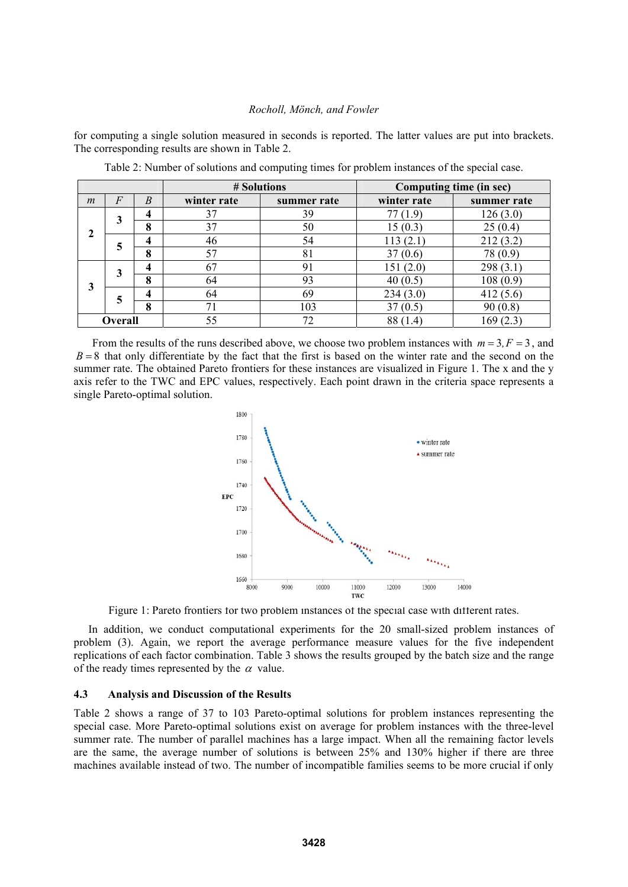for computing a single solution measured in seconds is reported. The latter values are put into brackets. The corresponding results are shown in Table 2.

|                |         |        | # Solutions |             | Computing time (in sec) |             |
|----------------|---------|--------|-------------|-------------|-------------------------|-------------|
| $\mathfrak{m}$ | $\,F$   | B      | winter rate | summer rate | winter rate             | summer rate |
|                | 3       |        | 37          | 39          | (1.9)                   | 126(3.0)    |
| 2              |         | 8      | 37          | 50          | 15(0.3)                 | 25(0.4)     |
|                | 5       |        | 46          | 54          | 113(2.1)                | 212 (3.2)   |
|                |         | 8      | 57          | 81          | 37(0.6)                 | 78 (0.9)    |
|                | 3       |        | 67          | 91          | 151(2.0)                | 298 (3.1)   |
| 3              |         | O<br>δ | 64          | 93          | 40(0.5)                 | 108 (0.9)   |
|                | 5       | Λ      | 64          | 69          | 234(3.0)                | 412(5.6)    |
|                |         | 8      | 71          | 103         | 37(0.5)                 | (0.8)       |
|                | Overall |        | 55          | 72          | 88                      |             |

Table 2: Number of solutions and computing times for problem instances of the special case.

From the results of the runs described above, we choose two problem instances with  $m = 3, F = 3$ , and  $B = 8$  that only differentiate by the fact that the first is based on the winter rate and the second on the summer rate. The obtained Pareto frontiers for these instances are visualized in Figure 1. The x and the y axis refer to the TWC and EPC values, respectively. Each point drawn in the criteria space represents a single Pareto-optimal solution.



Figure 1: Pareto frontiers for two problem instances of the special case with different rates.

In addition, we conduct computational experiments for the 20 small-sized problem instances of problem (3). Again, we report the average performance measure values for the five independent replications of each factor combination. Table 3 shows the results grouped by the batch size and the range of the ready times represented by the  $\alpha$  value.

## **4.3 Analysis and Discussion of the Results**

Table 2 shows a range of 37 to 103 Pareto-optimal solutions for problem instances representing the special case. More Pareto-optimal solutions exist on average for problem instances with the three-level summer rate. The number of parallel machines has a large impact. When all the remaining factor levels are the same, the average number of solutions is between 25% and 130% higher if there are three machines available instead of two. The number of incompatible families seems to be more crucial if only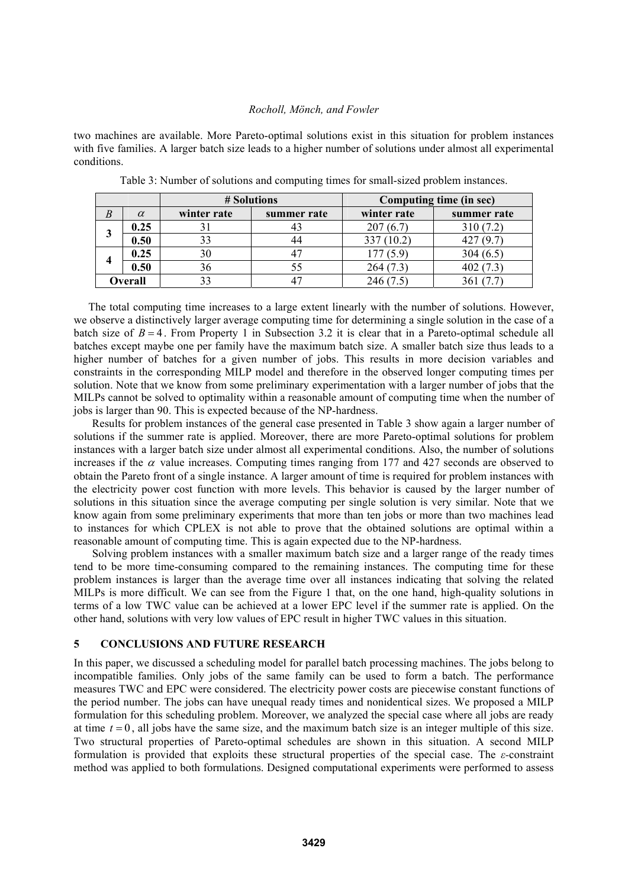two machines are available. More Pareto-optimal solutions exist in this situation for problem instances with five families. A larger batch size leads to a higher number of solutions under almost all experimental conditions.

|   | # Solutions |             | Computing time (in sec) |             |             |
|---|-------------|-------------|-------------------------|-------------|-------------|
| B | $\alpha$    | winter rate | summer rate             | winter rate | summer rate |
|   | 0.25        |             |                         | 207(6.7)    | 310(7.2)    |
| 3 | 0.50        |             |                         | 337 (10.2)  | 427 (9.7)   |
|   | 0.25        | 30          |                         | 177(5.9)    | 304(6.5)    |
|   | 0.50        | 90          |                         | 264(7.3)    | 402(7.3)    |
|   | Overall     |             |                         | 246 (7.5    |             |

Table 3: Number of solutions and computing times for small-sized problem instances.

The total computing time increases to a large extent linearly with the number of solutions. However, we observe a distinctively larger average computing time for determining a single solution in the case of a batch size of  $B = 4$ . From Property 1 in Subsection 3.2 it is clear that in a Pareto-optimal schedule all batches except maybe one per family have the maximum batch size. A smaller batch size thus leads to a higher number of batches for a given number of jobs. This results in more decision variables and constraints in the corresponding MILP model and therefore in the observed longer computing times per solution. Note that we know from some preliminary experimentation with a larger number of jobs that the MILPs cannot be solved to optimality within a reasonable amount of computing time when the number of jobs is larger than 90. This is expected because of the NP-hardness.

Results for problem instances of the general case presented in Table 3 show again a larger number of solutions if the summer rate is applied. Moreover, there are more Pareto-optimal solutions for problem instances with a larger batch size under almost all experimental conditions. Also, the number of solutions increases if the  $\alpha$  value increases. Computing times ranging from 177 and 427 seconds are observed to obtain the Pareto front of a single instance. A larger amount of time is required for problem instances with the electricity power cost function with more levels. This behavior is caused by the larger number of solutions in this situation since the average computing per single solution is very similar. Note that we know again from some preliminary experiments that more than ten jobs or more than two machines lead to instances for which CPLEX is not able to prove that the obtained solutions are optimal within a reasonable amount of computing time. This is again expected due to the NP-hardness.

Solving problem instances with a smaller maximum batch size and a larger range of the ready times tend to be more time-consuming compared to the remaining instances. The computing time for these problem instances is larger than the average time over all instances indicating that solving the related MILPs is more difficult. We can see from the Figure 1 that, on the one hand, high-quality solutions in terms of a low TWC value can be achieved at a lower EPC level if the summer rate is applied. On the other hand, solutions with very low values of EPC result in higher TWC values in this situation.

# **5 CONCLUSIONS AND FUTURE RESEARCH**

In this paper, we discussed a scheduling model for parallel batch processing machines. The jobs belong to incompatible families. Only jobs of the same family can be used to form a batch. The performance measures TWC and EPC were considered. The electricity power costs are piecewise constant functions of the period number. The jobs can have unequal ready times and nonidentical sizes. We proposed a MILP formulation for this scheduling problem. Moreover, we analyzed the special case where all jobs are ready at time  $t = 0$ , all jobs have the same size, and the maximum batch size is an integer multiple of this size. Two structural properties of Pareto-optimal schedules are shown in this situation. A second MILP formulation is provided that exploits these structural properties of the special case. The *ε-*constraint method was applied to both formulations. Designed computational experiments were performed to assess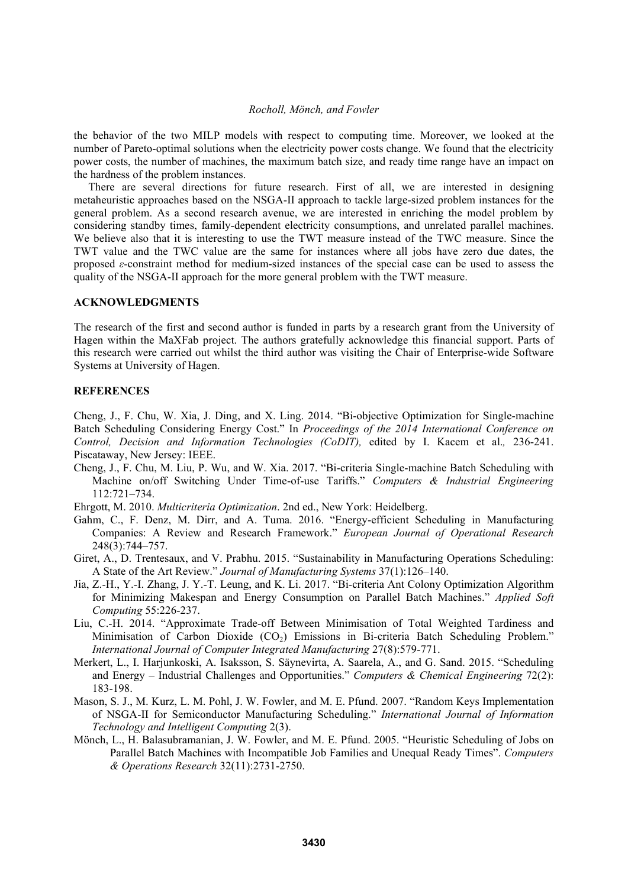the behavior of the two MILP models with respect to computing time. Moreover, we looked at the number of Pareto-optimal solutions when the electricity power costs change. We found that the electricity power costs, the number of machines, the maximum batch size, and ready time range have an impact on the hardness of the problem instances.

There are several directions for future research. First of all, we are interested in designing metaheuristic approaches based on the NSGA-II approach to tackle large-sized problem instances for the general problem. As a second research avenue, we are interested in enriching the model problem by considering standby times, family-dependent electricity consumptions, and unrelated parallel machines. We believe also that it is interesting to use the TWT measure instead of the TWC measure. Since the TWT value and the TWC value are the same for instances where all jobs have zero due dates, the proposed *ε-*constraint method for medium-sized instances of the special case can be used to assess the quality of the NSGA-II approach for the more general problem with the TWT measure.

### **ACKNOWLEDGMENTS**

The research of the first and second author is funded in parts by a research grant from the University of Hagen within the MaXFab project. The authors gratefully acknowledge this financial support. Parts of this research were carried out whilst the third author was visiting the Chair of Enterprise-wide Software Systems at University of Hagen.

## **REFERENCES**

Cheng, J., F. Chu, W. Xia, J. Ding, and X. Ling. 2014. "Bi-objective Optimization for Single-machine Batch Scheduling Considering Energy Cost." In *Proceedings of the 2014 International Conference on Control, Decision and Information Technologies (CoDIT),* edited by I. Kacem et al.*,* 236-241. Piscataway, New Jersey: IEEE.

- Cheng, J., F. Chu, M. Liu, P. Wu, and W. Xia. 2017. "Bi-criteria Single-machine Batch Scheduling with Machine on/off Switching Under Time-of-use Tariffs." *Computers & Industrial Engineering* 112:721–734.
- Ehrgott, M. 2010. *Multicriteria Optimization*. 2nd ed., New York: Heidelberg.
- Gahm, C., F. Denz, M. Dirr, and A. Tuma. 2016. "Energy-efficient Scheduling in Manufacturing Companies: A Review and Research Framework." *European Journal of Operational Research* 248(3):744–757.
- Giret, A., D. Trentesaux, and V. Prabhu. 2015. "Sustainability in Manufacturing Operations Scheduling: A State of the Art Review." *Journal of Manufacturing Systems* 37(1):126–140.
- Jia, Z.-H., Y.-I. Zhang, J. Y.-T. Leung, and K. Li. 2017. "Bi-criteria Ant Colony Optimization Algorithm for Minimizing Makespan and Energy Consumption on Parallel Batch Machines." *Applied Soft Computing* 55:226-237.
- Liu, C.-H. 2014. "Approximate Trade-off Between Minimisation of Total Weighted Tardiness and Minimisation of Carbon Dioxide  $(CO<sub>2</sub>)$  Emissions in Bi-criteria Batch Scheduling Problem." *International Journal of Computer Integrated Manufacturing* 27(8):579-771.
- Merkert, L., I. Harjunkoski, A. Isaksson, S. Säynevirta, A. Saarela, A., and G. Sand. 2015. "Scheduling and Energy – Industrial Challenges and Opportunities." *Computers & Chemical Engineering* 72(2): 183-198.
- Mason, S. J., M. Kurz, L. M. Pohl, J. W. Fowler, and M. E. Pfund. 2007. "Random Keys Implementation of NSGA-II for Semiconductor Manufacturing Scheduling." *International Journal of Information Technology and Intelligent Computing* 2(3).
- Mönch, L., H. Balasubramanian, J. W. Fowler, and M. E. Pfund. 2005. "Heuristic Scheduling of Jobs on Parallel Batch Machines with Incompatible Job Families and Unequal Ready Times". *Computers & Operations Research* 32(11):2731-2750.